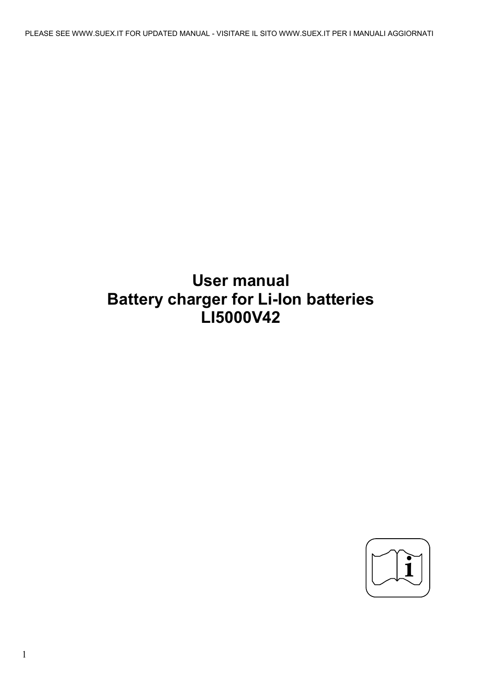# **User manual Battery charger for Li-Ion batteries LI5000V42**

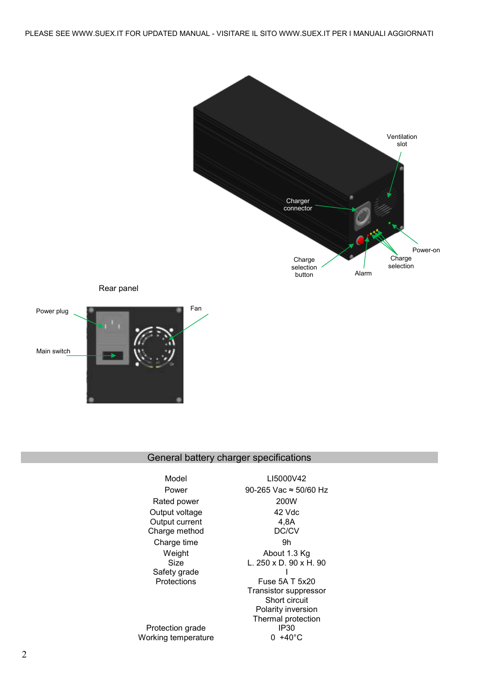

## General battery charger specifications

| Model               | LI5000V               |
|---------------------|-----------------------|
| Power               | 90-265 Vac ≈ 5        |
| Rated power         | 200W                  |
| Output voltage      | 42 Vdc                |
| Output current      | 4,8A                  |
| Charge method       | DC/CV                 |
| Charge time         | 9h                    |
| Weight              | About 1.3             |
| Size                | L. 250 x D. 90        |
| Safety grade        |                       |
| Protections         | Fuse 5A T             |
|                     | <b>Transistor sup</b> |
|                     | Short circ            |
|                     | Polarity inve         |
|                     | Thermal prot          |
| Protection grade    | IP30.                 |
| Working temperature | $+40^{\circ}$         |

000V42  $\text{BC} \approx 50/60 \text{ Hz}$ 42 Vdc 4,8A at 1.3 Kg L. 250 x D. 90 x H. 90 I 5A T 5x20 r suppressor rt circuit inversion protection  $P30$  $+40^{\circ}$ C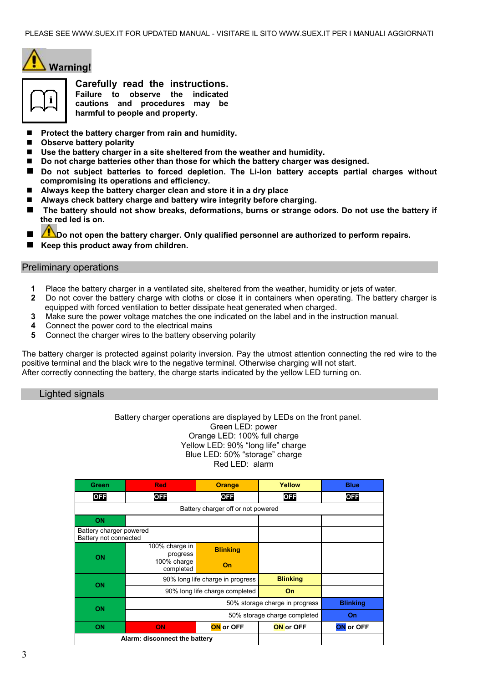



**Carefully read the instructions. Failure to observe the indicated cautions and procedures may be harmful to people and property.**

- **Protect the battery charger from rain and humidity.**
- Observe battery polarity
- **Use the battery charger in a site sheltered from the weather and humidity.**
- **Do not charge batteries other than those for which the battery charger was designed.**
- Do not subject batteries to forced depletion. The Li-Ion battery accepts partial charges without **compromising its operations and efficiency.**
- **Always keep the battery charger clean and store it in a dry place**
- **Always check battery charge and battery wire integrity before charging.**
- **The battery should not show breaks, deformations, burns or strange odors. Do not use the battery if the red led is on.**
- **Do not open the battery charger. Only qualified personnel are authorized to perform repairs.**
- **Keep this product away from children.**

## Preliminary operations

- **1** Place the battery charger in a ventilated site, sheltered from the weather, humidity or jets of water.
- **2** Do not cover the battery charge with cloths or close it in containers when operating. The battery charger is equipped with forced ventilation to better dissipate heat generated when charged.
- **3** Make sure the power voltage matches the one indicated on the label and in the instruction manual.
- **4** Connect the power cord to the electrical mains
- **5** Connect the charger wires to the battery observing polarity

The battery charger is protected against polarity inversion. Pay the utmost attention connecting the red wire to the positive terminal and the black wire to the negative terminal. Otherwise charging will not start. After correctly connecting the battery, the charge starts indicated by the yellow LED turning on.

## Lighted signals

 Battery charger operations are displayed by LEDs on the front panel. Green LED: power Orange LED: 100% full charge Yellow LED: 90% "long life" charge Blue LED: 50% "storage" charge Red LED: alarm

| Green                                            | <b>Red</b>                       | <b>Orange</b>   | Yellow           | <b>Blue</b>      |
|--------------------------------------------------|----------------------------------|-----------------|------------------|------------------|
| <b>OFF</b>                                       | <b>OFF</b>                       | <b>OFF</b>      | <b>OFF</b>       | <b>OFF</b>       |
|                                                  |                                  |                 |                  |                  |
| ON                                               |                                  |                 |                  |                  |
| Battery charger powered<br>Battery not connected |                                  |                 |                  |                  |
| ON                                               | 100% charge in<br>progress       | <b>Blinking</b> |                  |                  |
|                                                  | 100% charge<br>completed         | On              |                  |                  |
| ON                                               | 90% long life charge in progress |                 | <b>Blinking</b>  |                  |
|                                                  | 90% long life charge completed   |                 | On               |                  |
| ON                                               | 50% storage charge in progress   |                 | <b>Blinking</b>  |                  |
|                                                  | 50% storage charge completed     |                 |                  | On               |
| <b>ON</b>                                        | ON                               | ON or OFF       | <b>ON</b> or OFF | <b>ON</b> or OFF |
| Alarm: disconnect the battery                    |                                  |                 |                  |                  |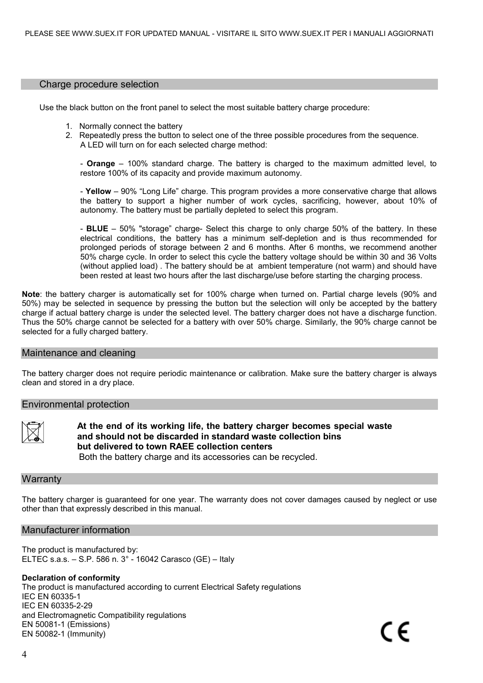## Charge procedure selection

Use the black button on the front panel to select the most suitable battery charge procedure:

- 1. Normally connect the battery
- 2. Repeatedly press the button to select one of the three possible procedures from the sequence. A LED will turn on for each selected charge method:

- **Orange** – 100% standard charge. The battery is charged to the maximum admitted level, to restore 100% of its capacity and provide maximum autonomy.

- **Yellow** – 90% "Long Life" charge. This program provides a more conservative charge that allows the battery to support a higher number of work cycles, sacrificing, however, about 10% of autonomy. The battery must be partially depleted to select this program.

- **BLUE** – 50% "storage" charge- Select this charge to only charge 50% of the battery. In these electrical conditions, the battery has a minimum self-depletion and is thus recommended for prolonged periods of storage between 2 and 6 months. After 6 months, we recommend another 50% charge cycle. In order to select this cycle the battery voltage should be within 30 and 36 Volts (without applied load) . The battery should be at ambient temperature (not warm) and should have been rested at least two hours after the last discharge/use before starting the charging process.

**Note**: the battery charger is automatically set for 100% charge when turned on. Partial charge levels (90% and 50%) may be selected in sequence by pressing the button but the selection will only be accepted by the battery charge if actual battery charge is under the selected level. The battery charger does not have a discharge function. Thus the 50% charge cannot be selected for a battery with over 50% charge. Similarly, the 90% charge cannot be selected for a fully charged battery.

## Maintenance and cleaning

The battery charger does not require periodic maintenance or calibration. Make sure the battery charger is always clean and stored in a dry place.

### Environmental protection



**At the end of its working life, the battery charger becomes special waste and should not be discarded in standard waste collection bins but delivered to town RAEE collection centers**

Both the battery charge and its accessories can be recycled.

## **Warranty**

The battery charger is guaranteed for one year. The warranty does not cover damages caused by neglect or use other than that expressly described in this manual.

## Manufacturer information

The product is manufactured by: ELTEC s.a.s. – S.P. 586 n. 3° - 16042 Carasco (GE) – Italy

## **Declaration of conformity**

The product is manufactured according to current Electrical Safety regulations IEC EN 60335-1 IEC EN 60335-2-29 and Electromagnetic Compatibility regulations EN 50081-1 (Emissions) EN 50082-1 (Immunity)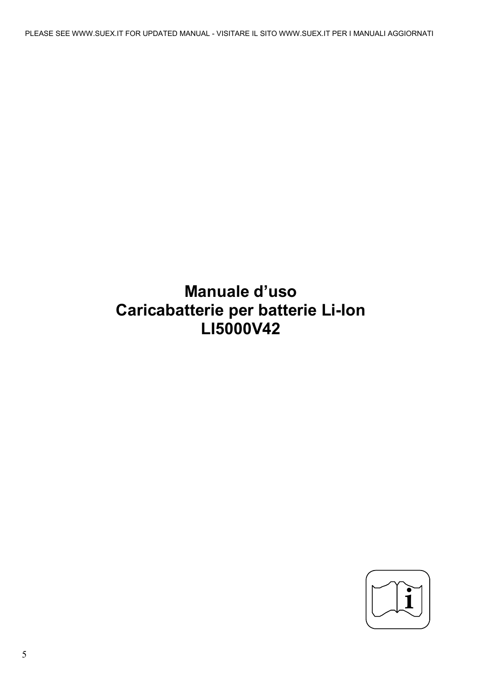PLEASE SEE WWW.SUEX.IT FOR UPDATED MANUAL - VISITARE IL SITO WWW.SUEX.IT PER I MANUALI AGGIORNATI

# **Manuale d'uso Caricabatterie per batterie Li-Ion LI5000V42**

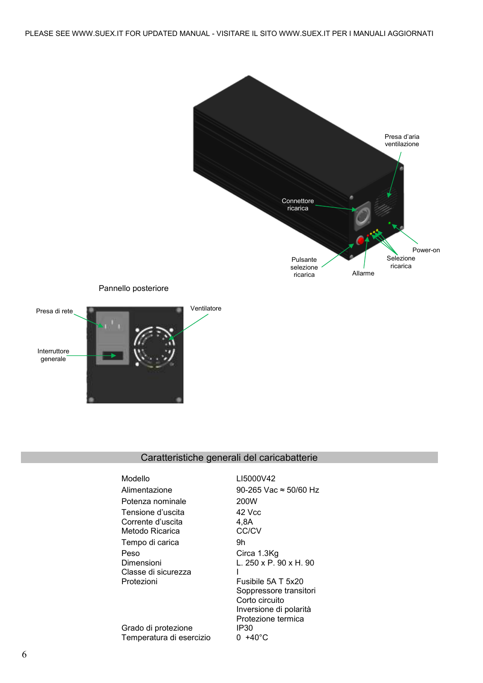

## Caratteristiche generali del caricabatterie

| Modello                  | LI5000V42                     |
|--------------------------|-------------------------------|
| Alimentazione            | 90-265 Vac $\approx$ 50/60 Hz |
| Potenza nominale         | 200W                          |
| Tensione d'uscita        | 42 Vcc                        |
| Corrente d'uscita        | 4.8A                          |
| Metodo Ricarica          | CC/CV                         |
| Tempo di carica          | 9h                            |
| Peso                     | Circa 1.3Kg                   |
| Dimensioni               | L. 250 x P. 90 x H. 90        |
| Classe di sicurezza      |                               |
| Protezioni               | Fusibile 5A T 5x20            |
|                          | Soppressore transitori        |
|                          | Corto circuito                |
|                          | Inversione di polarità        |
|                          | Protezione termica            |
| Grado di protezione      | IP30                          |
| Temperatura di esercizio | 0 +40°C                       |

Temperatura di esercizio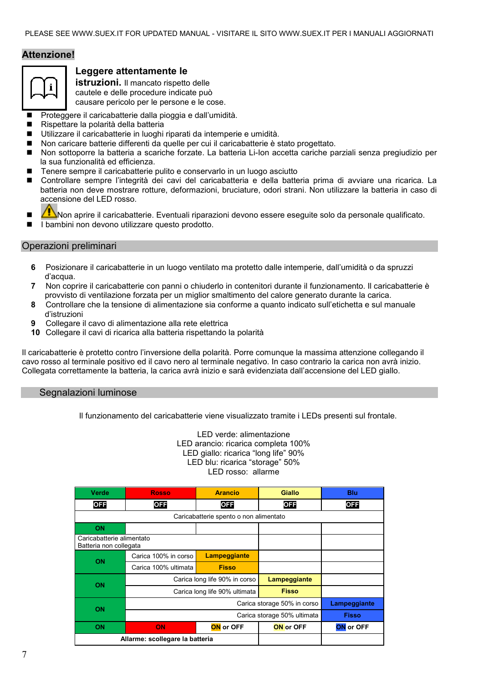## **Attenzione!**



## **Leggere attentamente le**

**istruzioni.** Il mancato rispetto delle cautele e delle procedure indicate può causare pericolo per le persone e le cose.

- **Proteggere il caricabatterie dalla pioggia e dall'umidità.**
- Rispettare la polarità della batteria
- Utilizzare il caricabatterie in luoghi riparati da intemperie e umidità.
- Non caricare batterie differenti da quelle per cui il caricabatterie è stato progettato.
- Non sottoporre la batteria a scariche forzate. La batteria Li-Ion accetta cariche parziali senza pregiudizio per la sua funzionalità ed efficienza.
- Tenere sempre il caricabatterie pulito e conservarlo in un luogo asciutto
- Controllare sempre l'integrità dei cavi del caricabatteria e della batteria prima di avviare una ricarica. La batteria non deve mostrare rotture, deformazioni, bruciature, odori strani. Non utilizzare la batteria in caso di accensione del LED rosso.



- Non aprire il caricabatterie. Eventuali riparazioni devono essere eseguite solo da personale qualificato.
- I bambini non devono utilizzare questo prodotto.

## Operazioni preliminari

- **6** Posizionare il caricabatterie in un luogo ventilato ma protetto dalle intemperie, dall'umidità o da spruzzi d'acqua.
- **7** Non coprire il caricabatterie con panni o chiuderlo in contenitori durante il funzionamento. Il caricabatterie è provvisto di ventilazione forzata per un miglior smaltimento del calore generato durante la carica.
- **8** Controllare che la tensione di alimentazione sia conforme a quanto indicato sull'etichetta e sul manuale d'istruzioni
- **9** Collegare il cavo di alimentazione alla rete elettrica
- **10** Collegare il cavi di ricarica alla batteria rispettando la polarità

Il caricabatterie è protetto contro l'inversione della polarità. Porre comunque la massima attenzione collegando il cavo rosso al terminale positivo ed il cavo nero al terminale negativo. In caso contrario la carica non avrà inizio. Collegata correttamente la batteria, la carica avrà inizio e sarà evidenziata dall'accensione del LED giallo.

## Segnalazioni luminose

Il funzionamento del caricabatterie viene visualizzato tramite i LEDs presenti sul frontale.

LED verde: alimentazione LED arancio: ricarica completa 100% LED giallo: ricarica "long life" 90% LED blu: ricarica "storage" 50% LED rosso: allarme

| Verde                                               | <b>Rosso</b>                  | <b>Arancio</b>   | <b>Giallo</b>    | Blu              |  |
|-----------------------------------------------------|-------------------------------|------------------|------------------|------------------|--|
| <b>OFF</b>                                          | <b>OFF</b>                    | <b>OFF</b>       | <b>OFF</b>       | <b>OFF</b>       |  |
| Caricabatterie spento o non alimentato              |                               |                  |                  |                  |  |
| <b>ON</b>                                           |                               |                  |                  |                  |  |
| Caricabatterie alimentato<br>Batteria non collegata |                               |                  |                  |                  |  |
| ON                                                  | Carica 100% in corso          | Lampeggiante     |                  |                  |  |
|                                                     | Carica 100% ultimata          | <b>Fisso</b>     |                  |                  |  |
| <b>ON</b>                                           | Carica long life 90% in corso |                  | Lampeggiante     |                  |  |
|                                                     | Carica long life 90% ultimata |                  | <b>Fisso</b>     |                  |  |
| Carica storage 50% in corso                         |                               | Lampeggiante     |                  |                  |  |
| <b>ON</b>                                           | Carica storage 50% ultimata   |                  | <b>Fisso</b>     |                  |  |
| <b>ON</b>                                           | <b>ON</b>                     | <b>ON</b> or OFF | <b>ON</b> or OFF | <b>ON</b> or OFF |  |
| Allarme: scollegare la batteria                     |                               |                  |                  |                  |  |